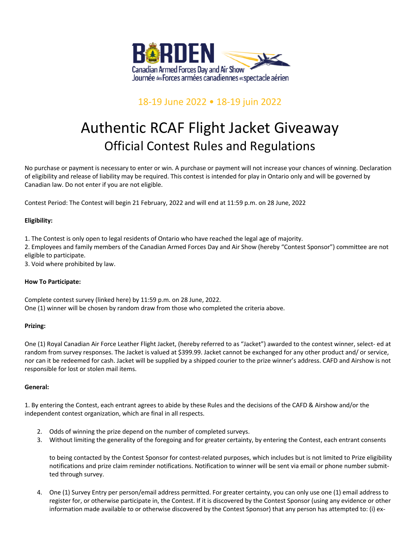

## 18-19 June 2022 • 18-19 juin 2022

# Authentic RCAF Flight Jacket Giveaway Official Contest Rules and Regulations

No purchase or payment is necessary to enter or win. A purchase or payment will not increase your chances of winning. Declaration of eligibility and release of liability may be required. This contest is intended for play in Ontario only and will be governed by Canadian law. Do not enter if you are not eligible.

Contest Period: The Contest will begin 21 February, 2022 and will end at 11:59 p.m. on 28 June, 2022

### **Eligibility:**

1. The Contest is only open to legal residents of Ontario who have reached the legal age of majority.

2. Employees and family members of the Canadian Armed Forces Day and Air Show (hereby "Contest Sponsor") committee are not eligible to participate.

3. Void where prohibited by law.

#### **How To Participate:**

Complete contest survey (linked here) by 11:59 p.m. on 28 June, 2022. One (1) winner will be chosen by random draw from those who completed the criteria above.

#### **Prizing:**

One (1) Royal Canadian Air Force Leather Flight Jacket, (hereby referred to as "Jacket") awarded to the contest winner, select- ed at random from survey responses. The Jacket is valued at \$399.99. Jacket cannot be exchanged for any other product and/ or service, nor can it be redeemed for cash. Jacket will be supplied by a shipped courier to the prize winner's address. CAFD and Airshow is not responsible for lost or stolen mail items.

#### **General:**

1. By entering the Contest, each entrant agrees to abide by these Rules and the decisions of the CAFD & Airshow and/or the independent contest organization, which are final in all respects.

- 2. Odds of winning the prize depend on the number of completed surveys.
- 3. Without limiting the generality of the foregoing and for greater certainty, by entering the Contest, each entrant consents

to being contacted by the Contest Sponsor for contest-related purposes, which includes but is not limited to Prize eligibility notifications and prize claim reminder notifications. Notification to winner will be sent via email or phone number submitted through survey.

4. One (1) Survey Entry per person/email address permitted. For greater certainty, you can only use one (1) email address to register for, or otherwise participate in, the Contest. If it is discovered by the Contest Sponsor (using any evidence or other information made available to or otherwise discovered by the Contest Sponsor) that any person has attempted to: (i) ex